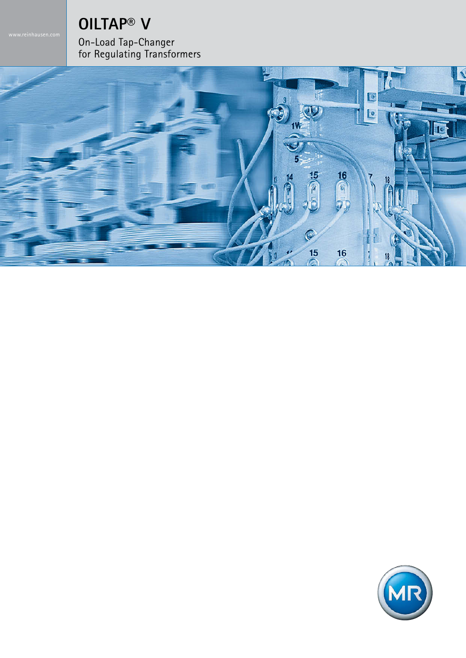# **OILTAP® V**

On-Load Tap-Changer for Regulating Transformers



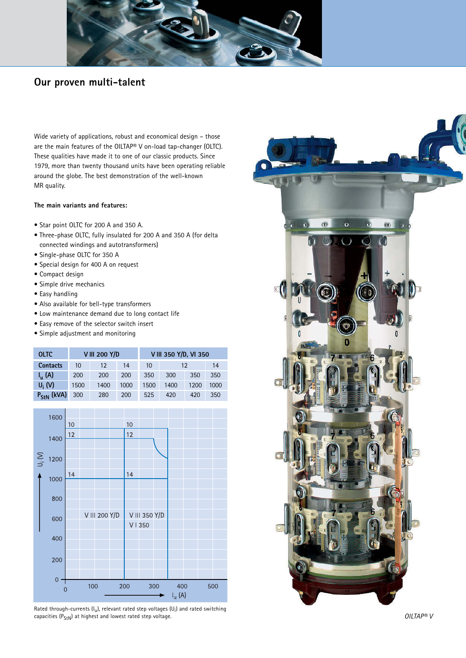

## **Our proven multi-talent**

Wide variety of applications, robust and economical design – those are the main features of the OILTAP® V on-load tap-changer (OLTC). These qualities have made it to one of our classic products. Since 1979, more than twenty thousand units have been operating reliable around the globe. The best demonstration of the well-known MR quality.

#### **The main variants and features:**

- Star point OLTC for 200 A and 350 A.
- Three-phase OLTC, fully insulated for 200 A and 350 A (for delta connected windings and autotransformers)
- Single-phase OLTC for 350 A
- Special design for 400 A on request
- Compact design
- Simple drive mechanics
- Easy handling
- Also available for bell-type transformers
- Low maintenance demand due to long contact life
- Easy remove of the selector switch insert
- Simple adjustment and monitoring

| <b>OLTC</b>     |      | <b>VIII 200 Y/D</b> |      | V III 350 Y/D, VI 350 |      |      |      |  |  |  |
|-----------------|------|---------------------|------|-----------------------|------|------|------|--|--|--|
| <b>Contacts</b> | 10   | 12                  | 14   | 10                    | 12   | 14   |      |  |  |  |
| $I_{u}(A)$      | 200  | 200                 | 200  | 350                   | 300  | 350  | 350  |  |  |  |
| $U_i(N)$        | 1500 | 1400                | 1000 | 1500                  | 1400 | 1200 | 1000 |  |  |  |
| $P_{StN}$ (kVA) | 300  | 280                 | 200  | 525                   | 420  | 420  | 350  |  |  |  |



Rated through-currents (I<sub>u</sub>), relevant rated step voltages (U<sub>i</sub>) and rated switching capacities  $(P_{SfN})$  at highest and lowest rated step voltage.

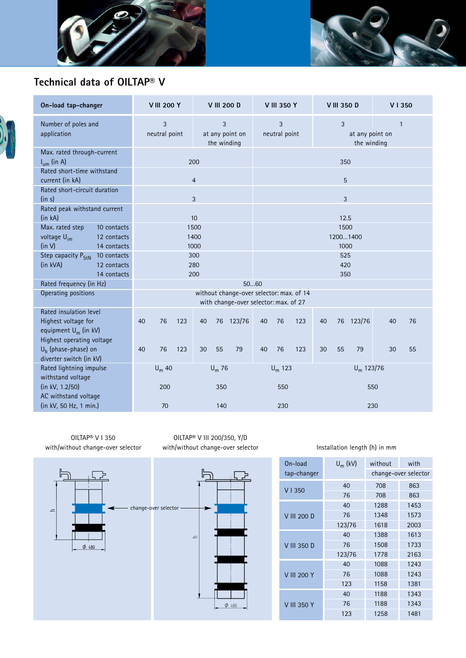



# **Technical data of OILTAP® V**



| On-load tap-changer                                                                                   |                                           | <b>VIII 200 Y</b>  |     |                                     | <b>V III 200 D</b> |                                                                                   | <b>V III 350 Y</b>                                                        |           |     | <b>VIII 350 D</b> |                          |              | V I 350 |    |  |
|-------------------------------------------------------------------------------------------------------|-------------------------------------------|--------------------|-----|-------------------------------------|--------------------|-----------------------------------------------------------------------------------|---------------------------------------------------------------------------|-----------|-----|-------------------|--------------------------|--------------|---------|----|--|
| Number of poles and<br>application                                                                    |                                           | 3<br>neutral point |     | 3<br>at any point on<br>the winding |                    |                                                                                   | 3<br>3<br>$\mathbf{1}$<br>neutral point<br>at any point on<br>the winding |           |     |                   |                          |              |         |    |  |
| Max. rated through-current<br>$I_{um}$ (in A)                                                         |                                           | 200                |     |                                     |                    | 350                                                                               |                                                                           |           |     |                   |                          |              |         |    |  |
| Rated short-time withstand<br>current (in kA)                                                         |                                           | $\overline{4}$     |     |                                     |                    | 5                                                                                 |                                                                           |           |     |                   |                          |              |         |    |  |
| Rated short-circuit duration<br>(in s)                                                                |                                           | 3                  |     |                                     |                    | 3                                                                                 |                                                                           |           |     |                   |                          |              |         |    |  |
| Rated peak withstand current<br>(in kA)                                                               |                                           | 10                 |     |                                     |                    | 12.5                                                                              |                                                                           |           |     |                   |                          |              |         |    |  |
| Max. rated step<br>voltage U <sub>im</sub><br>(in V)                                                  | 10 contacts<br>12 contacts<br>14 contacts |                    |     | 1500<br>1400<br>1000                |                    |                                                                                   |                                                                           |           |     |                   | 1500<br>12001400<br>1000 |              |         |    |  |
| Step capacity P <sub>StN</sub><br>(in kVA)                                                            | 10 contacts<br>12 contacts<br>14 contacts |                    |     | 300<br>280<br>200                   |                    |                                                                                   |                                                                           |           |     |                   | 525<br>420<br>350        |              |         |    |  |
| Rated frequency (in Hz)                                                                               |                                           |                    |     |                                     |                    | 5060                                                                              |                                                                           |           |     |                   |                          |              |         |    |  |
| Operating positions                                                                                   |                                           |                    |     |                                     |                    | without change-over selector: max. of 14<br>with change-over selector: max. of 27 |                                                                           |           |     |                   |                          |              |         |    |  |
| Rated insulation level<br>Highest voltage for<br>equipment $U_m$ (in kV)<br>Highest operating voltage |                                           | 76<br>40           | 123 | 40                                  |                    | 76 123/76                                                                         | 40                                                                        | 76        | 123 | 40                | 76                       | 123/76       | 40      | 76 |  |
| $Ub$ (phase-phase) on<br>diverter switch (in kV)                                                      |                                           | 76<br>40           | 123 | 30                                  | 55                 | 79                                                                                | 40                                                                        | 76        | 123 | 30                | 55                       | 79           | 30      | 55 |  |
| Rated lightning impulse<br>withstand voltage                                                          |                                           | $U_m$ 40           |     |                                     | $U_m$ 76           |                                                                                   |                                                                           | $U_m$ 123 |     |                   |                          | $U_m$ 123/76 |         |    |  |
| (in kV, 1.2/50)<br>AC withstand voltage                                                               |                                           | 200                |     |                                     | 350                |                                                                                   | 550                                                                       |           |     | 550               |                          |              |         |    |  |
| (in kV, 50 Hz, 1 min.)                                                                                |                                           | 70                 |     | 140                                 |                    |                                                                                   | 230                                                                       |           |     | 230               |                          |              |         |    |  |

OILTAP® V I 350 with/without change-over selector



OILTAP® V III 200/350, Y/D



### with/without change-over selector **Installation length (h)** in mm

| On-load            | $U_m$ (kV) | without              | with |  |  |  |
|--------------------|------------|----------------------|------|--|--|--|
| tap-changer        |            | change-over selector |      |  |  |  |
| V1350              | 40         | 708                  | 863  |  |  |  |
|                    | 76         | 708                  | 863  |  |  |  |
| V III 200 D        | 40         | 1288                 | 1453 |  |  |  |
|                    | 76         | 1348                 | 1573 |  |  |  |
|                    | 123/76     | 1618                 | 2003 |  |  |  |
|                    | 40         | 1388                 | 1613 |  |  |  |
| V III 350 D        | 76         | 1508                 | 1733 |  |  |  |
|                    | 123/76     | 1778                 | 2163 |  |  |  |
|                    | 40         | 1088                 | 1243 |  |  |  |
| <b>V III 200 Y</b> | 76         | 1088                 | 1243 |  |  |  |
|                    | 123        | 1158                 | 1381 |  |  |  |
|                    | 40         | 1188                 | 1343 |  |  |  |
| V III 350 Y        | 76         | 1188                 | 1343 |  |  |  |
|                    | 123        | 1258                 | 1481 |  |  |  |